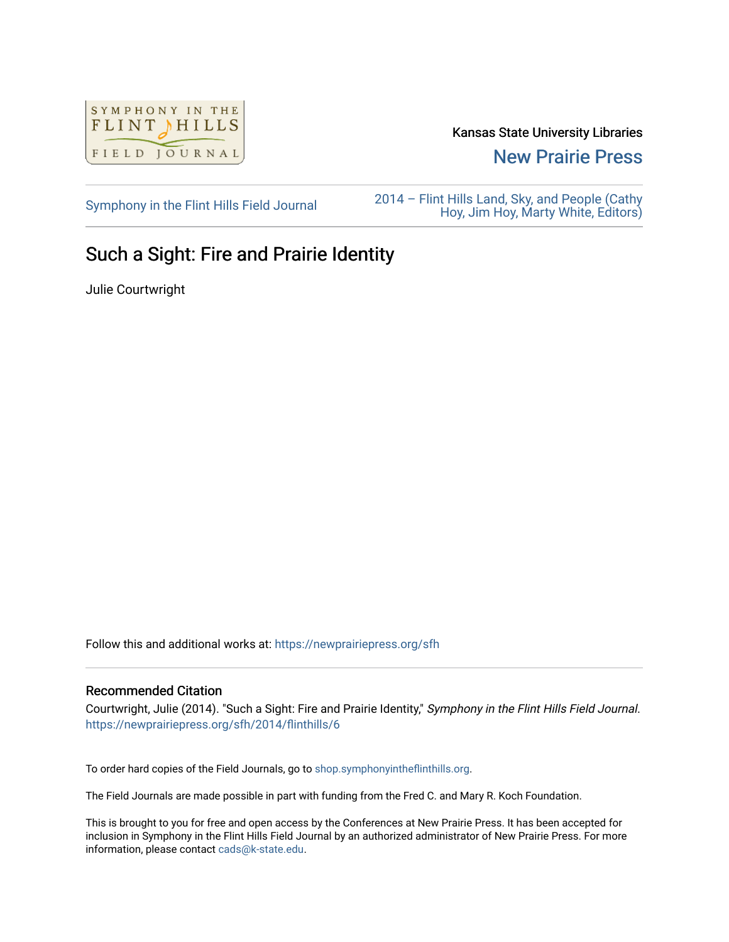

Kansas State University Libraries

[New Prairie Press](https://newprairiepress.org/) 

[Symphony in the Flint Hills Field Journal](https://newprairiepress.org/sfh) 2014 – Flint Hills Land, Sky, and People (Cathy [Hoy, Jim Hoy, Marty White, Editors\)](https://newprairiepress.org/sfh/2014) 

## Such a Sight: Fire and Prairie Identity

Julie Courtwright

Follow this and additional works at: [https://newprairiepress.org/sfh](https://newprairiepress.org/sfh?utm_source=newprairiepress.org%2Fsfh%2F2014%2Fflinthills%2F6&utm_medium=PDF&utm_campaign=PDFCoverPages)

## Recommended Citation

Courtwright, Julie (2014). "Such a Sight: Fire and Prairie Identity," Symphony in the Flint Hills Field Journal. <https://newprairiepress.org/sfh/2014/flinthills/6>

To order hard copies of the Field Journals, go to [shop.symphonyintheflinthills.org.](http://shop.symphonyintheflinthills.org/)

The Field Journals are made possible in part with funding from the Fred C. and Mary R. Koch Foundation.

This is brought to you for free and open access by the Conferences at New Prairie Press. It has been accepted for inclusion in Symphony in the Flint Hills Field Journal by an authorized administrator of New Prairie Press. For more information, please contact [cads@k-state.edu](mailto:cads@k-state.edu).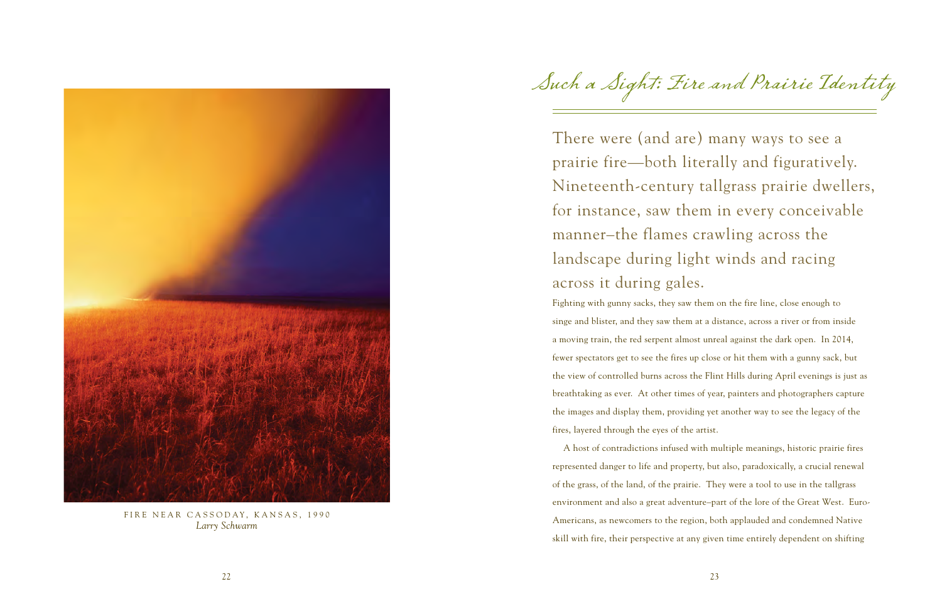

FIRE NEAR CASSODAY, KANSAS, 1990 *Larry Schwarm*

Such a Sight: Fire and Prairie Identity

There were (and are) many ways to see a prairie fire—both literally and figuratively. Nineteenth-century tallgrass prairie dwellers, for instance, saw them in every conceivable manner–the flames crawling across the landscape during light winds and racing across it during gales.

Fighting with gunny sacks, they saw them on the fire line, close enough to singe and blister, and they saw them at a distance, across a river or from inside a moving train, the red serpent almost unreal against the dark open. In 2014, fewer spectators get to see the fires up close or hit them with a gunny sack, but the view of controlled burns across the Flint Hills during April evenings is just as breathtaking as ever. At other times of year, painters and photographers capture the images and display them, providing yet another way to see the legacy of the fires, layered through the eyes of the artist.

A host of contradictions infused with multiple meanings, historic prairie fires represented danger to life and property, but also, paradoxically, a crucial renewal of the grass, of the land, of the prairie. They were a tool to use in the tallgrass environment and also a great adventure–part of the lore of the Great West. Euro-Americans, as newcomers to the region, both applauded and condemned Native skill with fire, their perspective at any given time entirely dependent on shifting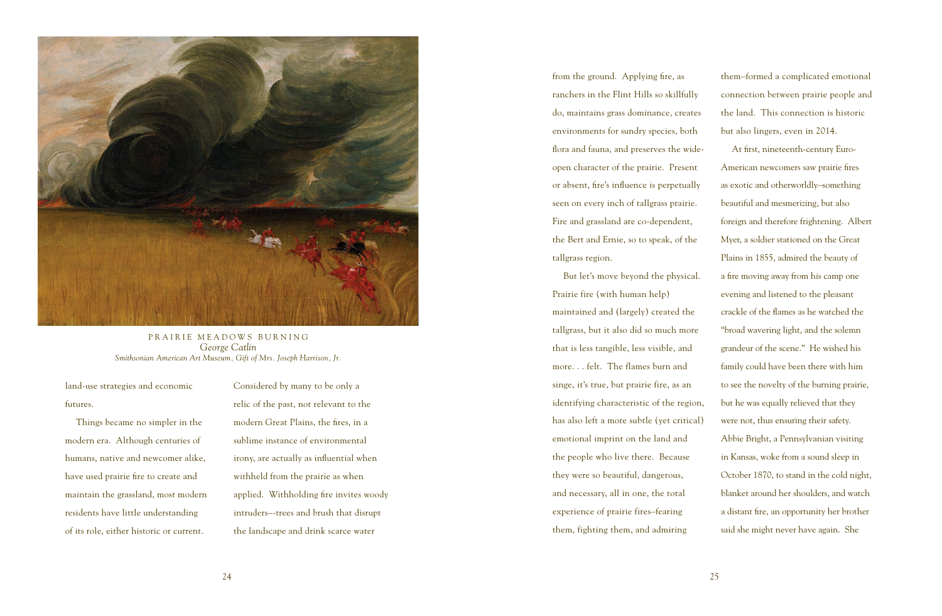

PRAIRIE MEADOWS BURNING *George Catlin Smithsonian American Art Museum, Gift of Mrs. Joseph Harrison, Jr.*

land-use strategies and economic futures.

Things became no simpler in the modern era. Although centuries of humans, native and newcomer alike, have used prairie fire to create and maintain the grassland, most modern residents have little understanding of its role, either historic or current.

Considered by many to be only a relic of the past, not relevant to the modern Great Plains, the fires, in a sublime instance of environmental irony, are actually as influential when withheld from the prairie as when applied. Withholding fire invites woody intruders–-trees and brush that disrupt the landscape and drink scarce water

from the ground. Applying fire, as ranchers in the Flint Hills so skillfully do, maintains grass dominance, creates environments for sundry species, both flora and fauna, and preserves the wideopen character of the prairie. Present or absent, fire's influence is perpetually seen on every inch of tallgrass prairie. Fire and grassland are co-dependent, the Bert and Ernie, so to speak, of the tallgrass region.

But let's move beyond the physical. Prairie fire (with human help) maintained and (largely) created the tallgrass, but it also did so much more that is less tangible, less visible, and more. . . felt. The flames burn and singe, it's true, but prairie fire, as an identifying characteristic of the region, has also left a more subtle (yet critical) emotional imprint on the land and the people who live there. Because they were so beautiful, dangerous, and necessary, all in one, the total experience of prairie fires–fearing them, fighting them, and admiring

them–formed a complicated emotional connection between prairie people and the land. This connection is historic but also lingers, even in 2014.

At first, nineteenth-century Euro-American newcomers saw prairie fires as exotic and otherworldly–something beautiful and mesmerizing, but also foreign and therefore frightening. Albert Myer, a soldier stationed on the Great Plains in 1855, admired the beauty of a fire moving away from his camp one evening and listened to the pleasant crackle of the flames as he watched the "broad wavering light, and the solemn grandeur of the scene." He wished his family could have been there with him to see the novelty of the burning prairie, but he was equally relieved that they were not, thus ensuring their safety. Abbie Bright, a Pennsylvanian visiting in Kansas, woke from a sound sleep in October 1870, to stand in the cold night, blanket around her shoulders, and watch a distant fire, an opportunity her brother said she might never have again. She